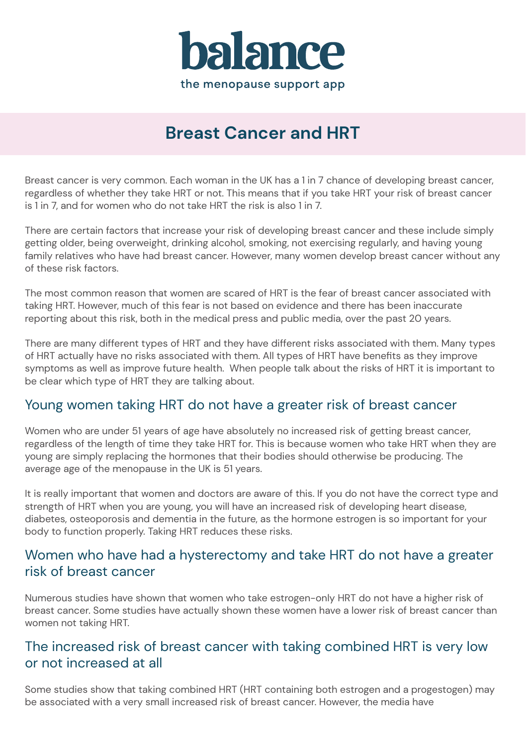

# **Breast Cancer and HRT**

Breast cancer is very common. Each woman in the UK has a 1 in 7 chance of developing breast cancer, regardless of whether they take HRT or not. This means that if you take HRT your risk of breast cancer is 1 in 7, and for women who do not take HRT the risk is also 1 in 7.

There are certain factors that increase your risk of developing breast cancer and these include simply getting older, being overweight, drinking alcohol, smoking, not exercising regularly, and having young family relatives who have had breast cancer. However, many women develop breast cancer without any of these risk factors.

The most common reason that women are scared of HRT is the fear of breast cancer associated with taking HRT. However, much of this fear is not based on evidence and there has been inaccurate reporting about this risk, both in the medical press and public media, over the past 20 years.

There are many different types of HRT and they have different risks associated with them. Many types of HRT actually have no risks associated with them. All types of HRT have benefits as they improve symptoms as well as improve future health. When people talk about the risks of HRT it is important to be clear which type of HRT they are talking about.

# Young women taking HRT do not have a greater risk of breast cancer

Women who are under 51 years of age have absolutely no increased risk of getting breast cancer, regardless of the length of time they take HRT for. This is because women who take HRT when they are young are simply replacing the hormones that their bodies should otherwise be producing. The average age of the menopause in the UK is 51 years.

It is really important that women and doctors are aware of this. If you do not have the correct type and strength of HRT when you are young, you will have an increased risk of developing heart disease, diabetes, osteoporosis and dementia in the future, as the hormone estrogen is so important for your body to function properly. Taking HRT reduces these risks.

### Women who have had a hysterectomy and take HRT do not have a greater risk of breast cancer

Numerous studies have shown that women who take estrogen-only HRT do not have a higher risk of breast cancer. Some studies have actually shown these women have a lower risk of breast cancer than women not taking HRT.

# The increased risk of breast cancer with taking combined HRT is very low or not increased at all

Some studies show that taking combined HRT (HRT containing both estrogen and a progestogen) may be associated with a very small increased risk of breast cancer. However, the media have